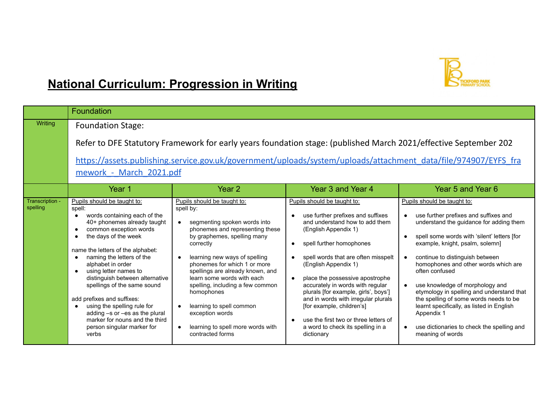

## **National Curriculum: Progression in Writing**

|                             | Foundation                                                                                                                                                                                                                                                                                                                                                                                                                                                                                                       |                                                                                                                                                                                                                                                                                                                                                                                                                                                      |                                                                                                                                                                                                                                                                                                                                                                                                                                                                                                                                                          |                                                                                                                                                                                                                                                                                                                                                                                                                                                                                                                                                       |
|-----------------------------|------------------------------------------------------------------------------------------------------------------------------------------------------------------------------------------------------------------------------------------------------------------------------------------------------------------------------------------------------------------------------------------------------------------------------------------------------------------------------------------------------------------|------------------------------------------------------------------------------------------------------------------------------------------------------------------------------------------------------------------------------------------------------------------------------------------------------------------------------------------------------------------------------------------------------------------------------------------------------|----------------------------------------------------------------------------------------------------------------------------------------------------------------------------------------------------------------------------------------------------------------------------------------------------------------------------------------------------------------------------------------------------------------------------------------------------------------------------------------------------------------------------------------------------------|-------------------------------------------------------------------------------------------------------------------------------------------------------------------------------------------------------------------------------------------------------------------------------------------------------------------------------------------------------------------------------------------------------------------------------------------------------------------------------------------------------------------------------------------------------|
| <b>Writing</b>              | <b>Foundation Stage:</b><br>Refer to DFE Statutory Framework for early years foundation stage: (published March 2021/effective September 202<br>https://assets.publishing.service.gov.uk/government/uploads/system/uploads/attachment_data/file/974907/EYFS_fra<br>mework - March 2021.pdf                                                                                                                                                                                                                       |                                                                                                                                                                                                                                                                                                                                                                                                                                                      |                                                                                                                                                                                                                                                                                                                                                                                                                                                                                                                                                          |                                                                                                                                                                                                                                                                                                                                                                                                                                                                                                                                                       |
|                             | Year 1                                                                                                                                                                                                                                                                                                                                                                                                                                                                                                           | Year 2                                                                                                                                                                                                                                                                                                                                                                                                                                               | Year 3 and Year 4                                                                                                                                                                                                                                                                                                                                                                                                                                                                                                                                        | Year 5 and Year 6                                                                                                                                                                                                                                                                                                                                                                                                                                                                                                                                     |
| Transcription -<br>spelling | Pupils should be taught to:<br>spell:<br>words containing each of the<br>40+ phonemes already taught<br>common exception words<br>the days of the week<br>name the letters of the alphabet:<br>naming the letters of the<br>alphabet in order<br>using letter names to<br>distinguish between alternative<br>spellings of the same sound<br>add prefixes and suffixes:<br>using the spelling rule for<br>adding -s or -es as the plural<br>marker for nouns and the third<br>person singular marker for<br>verbs | Pupils should be taught to:<br>spell by:<br>segmenting spoken words into<br>phonemes and representing these<br>by graphemes, spelling many<br>correctly<br>learning new ways of spelling<br>phonemes for which 1 or more<br>spellings are already known, and<br>learn some words with each<br>spelling, including a few common<br>homophones<br>learning to spell common<br>exception words<br>learning to spell more words with<br>contracted forms | Pupils should be taught to:<br>use further prefixes and suffixes<br>$\bullet$<br>and understand how to add them<br>(English Appendix 1)<br>spell further homophones<br>$\bullet$<br>spell words that are often misspelt<br>(English Appendix 1)<br>place the possessive apostrophe<br>$\bullet$<br>accurately in words with regular<br>plurals [for example, girls', boys']<br>and in words with irregular plurals<br>[for example, children's]<br>use the first two or three letters of<br>$\bullet$<br>a word to check its spelling in a<br>dictionary | Pupils should be taught to:<br>use further prefixes and suffixes and<br>understand the guidance for adding them<br>spell some words with 'silent' letters [for<br>example, knight, psalm, solemn]<br>continue to distinguish between<br>homophones and other words which are<br>often confused<br>use knowledge of morphology and<br>etymology in spelling and understand that<br>the spelling of some words needs to be<br>learnt specifically, as listed in English<br>Appendix 1<br>use dictionaries to check the spelling and<br>meaning of words |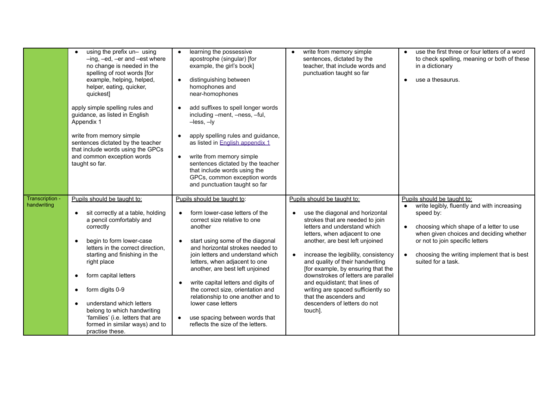|                                | using the prefix un- using<br>$-$ ing, $-$ ed, $-$ er and $-$ est where<br>no change is needed in the<br>spelling of root words [for<br>example, helping, helped,<br>helper, eating, quicker,<br>quickest]<br>apply simple spelling rules and<br>guidance, as listed in English<br>Appendix 1<br>write from memory simple<br>sentences dictated by the teacher<br>that include words using the GPCs<br>and common exception words<br>taught so far. | learning the possessive<br>apostrophe (singular) [for<br>example, the girl's book]<br>distinguishing between<br>$\bullet$<br>homophones and<br>near-homophones<br>add suffixes to spell longer words<br>including -ment, -ness, -ful,<br>$-$ less, $-$ ly<br>apply spelling rules and guidance,<br>as listed in <b>English appendix 1</b><br>write from memory simple<br>$\bullet$<br>sentences dictated by the teacher<br>that include words using the<br>GPCs, common exception words<br>and punctuation taught so far | write from memory simple<br>sentences, dictated by the<br>teacher, that include words and<br>punctuation taught so far                                                                                                                                                                                                                                                                                                                                                                                                   | use the first three or four letters of a word<br>to check spelling, meaning or both of these<br>in a dictionary<br>use a thesaurus.<br>$\bullet$                                                                                                                                                                |
|--------------------------------|-----------------------------------------------------------------------------------------------------------------------------------------------------------------------------------------------------------------------------------------------------------------------------------------------------------------------------------------------------------------------------------------------------------------------------------------------------|--------------------------------------------------------------------------------------------------------------------------------------------------------------------------------------------------------------------------------------------------------------------------------------------------------------------------------------------------------------------------------------------------------------------------------------------------------------------------------------------------------------------------|--------------------------------------------------------------------------------------------------------------------------------------------------------------------------------------------------------------------------------------------------------------------------------------------------------------------------------------------------------------------------------------------------------------------------------------------------------------------------------------------------------------------------|-----------------------------------------------------------------------------------------------------------------------------------------------------------------------------------------------------------------------------------------------------------------------------------------------------------------|
| Transcription -<br>handwriting | Pupils should be taught to:<br>sit correctly at a table, holding<br>a pencil comfortably and<br>correctly<br>begin to form lower-case<br>letters in the correct direction,<br>starting and finishing in the<br>right place<br>form capital letters<br>٠<br>form digits 0-9<br>٠<br>understand which letters<br>belong to which handwriting<br>'families' (i.e. letters that are<br>formed in similar ways) and to<br>practise these.                | Pupils should be taught to:<br>form lower-case letters of the<br>correct size relative to one<br>another<br>start using some of the diagonal<br>and horizontal strokes needed to<br>join letters and understand which<br>letters, when adjacent to one<br>another, are best left unjoined<br>write capital letters and digits of<br>the correct size, orientation and<br>relationship to one another and to<br>lower case letters<br>use spacing between words that<br>$\bullet$<br>reflects the size of the letters.    | Pupils should be taught to:<br>use the diagonal and horizontal<br>strokes that are needed to join<br>letters and understand which<br>letters, when adjacent to one<br>another, are best left unjoined<br>increase the legibility, consistency<br>$\bullet$<br>and quality of their handwriting<br>[for example, by ensuring that the<br>downstrokes of letters are parallel<br>and equidistant; that lines of<br>writing are spaced sufficiently so<br>that the ascenders and<br>descenders of letters do not<br>touch]. | Pupils should be taught to:<br>write legibly, fluently and with increasing<br>$\bullet$<br>speed by:<br>choosing which shape of a letter to use<br>$\bullet$<br>when given choices and deciding whether<br>or not to join specific letters<br>choosing the writing implement that is best<br>suited for a task. |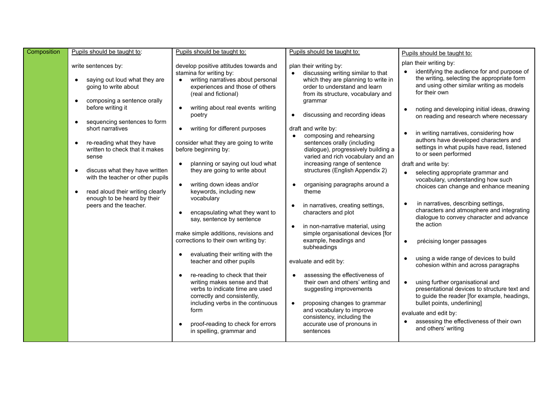| Composition | Pupils should be taught to:                                                                                                           | Pupils should be taught to:                                                                                                                                                   | Pupils should be taught to:                                                                                                                                                               | Pupils should be taught to:                                                                                                                                                             |
|-------------|---------------------------------------------------------------------------------------------------------------------------------------|-------------------------------------------------------------------------------------------------------------------------------------------------------------------------------|-------------------------------------------------------------------------------------------------------------------------------------------------------------------------------------------|-----------------------------------------------------------------------------------------------------------------------------------------------------------------------------------------|
|             | write sentences by:<br>saying out loud what they are<br>$\bullet$<br>going to write about<br>composing a sentence orally<br>$\bullet$ | develop positive attitudes towards and<br>stamina for writing by:<br>writing narratives about personal<br>experiences and those of others<br>(real and fictional)             | plan their writing by:<br>discussing writing similar to that<br>which they are planning to write in<br>order to understand and learn<br>from its structure, vocabulary and<br>grammar     | plan their writing by:<br>identifying the audience for and purpose of<br>the writing, selecting the appropriate form<br>and using other similar writing as models<br>for their own      |
|             | before writing it<br>sequencing sentences to form<br>$\bullet$<br>short narratives                                                    | writing about real events writing<br>poetry<br>writing for different purposes<br>$\bullet$                                                                                    | discussing and recording ideas<br>draft and write by:                                                                                                                                     | noting and developing initial ideas, drawing<br>on reading and research where necessary<br>in writing narratives, considering how                                                       |
|             | re-reading what they have<br>$\bullet$<br>written to check that it makes<br>sense                                                     | consider what they are going to write<br>before beginning by:                                                                                                                 | composing and rehearsing<br>sentences orally (including<br>dialogue), progressively building a<br>varied and rich vocabulary and an                                                       | authors have developed characters and<br>settings in what pupils have read, listened<br>to or seen performed                                                                            |
|             | discuss what they have written<br>$\bullet$<br>with the teacher or other pupils<br>read aloud their writing clearly                   | planning or saying out loud what<br>they are going to write about<br>writing down ideas and/or<br>$\bullet$<br>keywords, including new                                        | increasing range of sentence<br>structures (English Appendix 2)<br>organising paragraphs around a<br>theme                                                                                | draft and write by:<br>selecting appropriate grammar and<br>vocabulary, understanding how such<br>choices can change and enhance meaning                                                |
|             | $\bullet$<br>enough to be heard by their<br>peers and the teacher.                                                                    | vocabulary<br>encapsulating what they want to<br>say, sentence by sentence                                                                                                    | in narratives, creating settings,<br>characters and plot                                                                                                                                  | in narratives, describing settings,<br>characters and atmosphere and integrating<br>dialogue to convey character and advance<br>the action                                              |
|             |                                                                                                                                       | make simple additions, revisions and<br>corrections to their own writing by:<br>evaluating their writing with the                                                             | in non-narrative material, using<br>simple organisational devices [for<br>example, headings and<br>subheadings                                                                            | précising longer passages<br>$\bullet$                                                                                                                                                  |
|             |                                                                                                                                       | teacher and other pupils                                                                                                                                                      | evaluate and edit by:                                                                                                                                                                     | using a wide range of devices to build<br>cohesion within and across paragraphs                                                                                                         |
|             |                                                                                                                                       | re-reading to check that their<br>writing makes sense and that<br>verbs to indicate time are used<br>correctly and consistently,<br>including verbs in the continuous<br>form | assessing the effectiveness of<br>their own and others' writing and<br>suggesting improvements<br>proposing changes to grammar<br>and vocabulary to improve<br>consistency, including the | using further organisational and<br>presentational devices to structure text and<br>to guide the reader [for example, headings,<br>bullet points, underlining]<br>evaluate and edit by: |
|             |                                                                                                                                       | proof-reading to check for errors<br>in spelling, grammar and                                                                                                                 | accurate use of pronouns in<br>sentences                                                                                                                                                  | assessing the effectiveness of their own<br>and others' writing                                                                                                                         |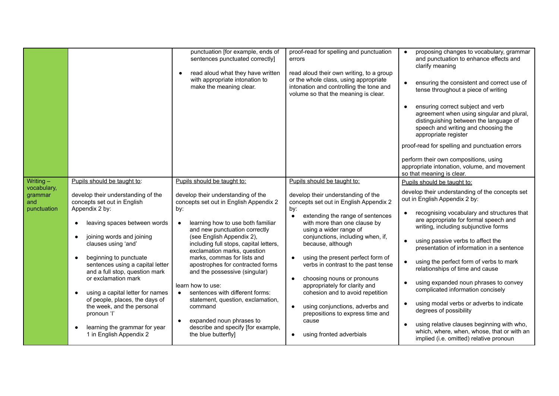|                                                             |                                                                                                                                                                                                                                                                                                                                                                                                                                                                                                                                                                               | punctuation [for example, ends of<br>sentences punctuated correctly]<br>read aloud what they have written<br>with appropriate intonation to<br>make the meaning clear.                                                                                                                                                                                                                                                                                                                                                                                                                              | proof-read for spelling and punctuation<br>errors<br>read aloud their own writing, to a group<br>or the whole class, using appropriate<br>intonation and controlling the tone and<br>volume so that the meaning is clear.                                                                                                                                                                                                                                                                                                                                                                                                 | proposing changes to vocabulary, grammar<br>and punctuation to enhance effects and<br>clarify meaning<br>ensuring the consistent and correct use of<br>tense throughout a piece of writing<br>ensuring correct subject and verb<br>$\bullet$<br>agreement when using singular and plural,<br>distinguishing between the language of<br>speech and writing and choosing the<br>appropriate register<br>proof-read for spelling and punctuation errors<br>perform their own compositions, using<br>appropriate intonation, volume, and movement<br>so that meaning is clear.                                                                                                                                                          |
|-------------------------------------------------------------|-------------------------------------------------------------------------------------------------------------------------------------------------------------------------------------------------------------------------------------------------------------------------------------------------------------------------------------------------------------------------------------------------------------------------------------------------------------------------------------------------------------------------------------------------------------------------------|-----------------------------------------------------------------------------------------------------------------------------------------------------------------------------------------------------------------------------------------------------------------------------------------------------------------------------------------------------------------------------------------------------------------------------------------------------------------------------------------------------------------------------------------------------------------------------------------------------|---------------------------------------------------------------------------------------------------------------------------------------------------------------------------------------------------------------------------------------------------------------------------------------------------------------------------------------------------------------------------------------------------------------------------------------------------------------------------------------------------------------------------------------------------------------------------------------------------------------------------|-------------------------------------------------------------------------------------------------------------------------------------------------------------------------------------------------------------------------------------------------------------------------------------------------------------------------------------------------------------------------------------------------------------------------------------------------------------------------------------------------------------------------------------------------------------------------------------------------------------------------------------------------------------------------------------------------------------------------------------|
| Writing $-$<br>vocabulary,<br>grammar<br>and<br>punctuation | Pupils should be taught to:<br>develop their understanding of the<br>concepts set out in English<br>Appendix 2 by:<br>leaving spaces between words<br>$\bullet$<br>joining words and joining<br>$\bullet$<br>clauses using 'and'<br>beginning to punctuate<br>$\bullet$<br>sentences using a capital letter<br>and a full stop, question mark<br>or exclamation mark<br>using a capital letter for names<br>$\bullet$<br>of people, places, the days of<br>the week, and the personal<br>pronoun 'l'<br>learning the grammar for year<br>$\bullet$<br>1 in English Appendix 2 | Pupils should be taught to:<br>develop their understanding of the<br>concepts set out in English Appendix 2<br>by:<br>learning how to use both familiar<br>and new punctuation correctly<br>(see English Appendix 2),<br>including full stops, capital letters,<br>exclamation marks, question<br>marks, commas for lists and<br>apostrophes for contracted forms<br>and the possessive (singular)<br>learn how to use:<br>sentences with different forms:<br>statement, question, exclamation,<br>command<br>expanded noun phrases to<br>describe and specify [for example,<br>the blue butterfly] | Pupils should be taught to:<br>develop their understanding of the<br>concepts set out in English Appendix 2<br>by:<br>extending the range of sentences<br>$\bullet$<br>with more than one clause by<br>using a wider range of<br>conjunctions, including when, if,<br>because, although<br>using the present perfect form of<br>$\bullet$<br>verbs in contrast to the past tense<br>choosing nouns or pronouns<br>$\bullet$<br>appropriately for clarity and<br>cohesion and to avoid repetition<br>using conjunctions, adverbs and<br>$\bullet$<br>prepositions to express time and<br>cause<br>using fronted adverbials | Pupils should be taught to:<br>develop their understanding of the concepts set<br>out in English Appendix 2 by:<br>recognising vocabulary and structures that<br>are appropriate for formal speech and<br>writing, including subjunctive forms<br>using passive verbs to affect the<br>$\bullet$<br>presentation of information in a sentence<br>using the perfect form of verbs to mark<br>relationships of time and cause<br>using expanded noun phrases to convey<br>complicated information concisely<br>using modal verbs or adverbs to indicate<br>degrees of possibility<br>using relative clauses beginning with who,<br>$\bullet$<br>which, where, when, whose, that or with an<br>implied (i.e. omitted) relative pronoun |